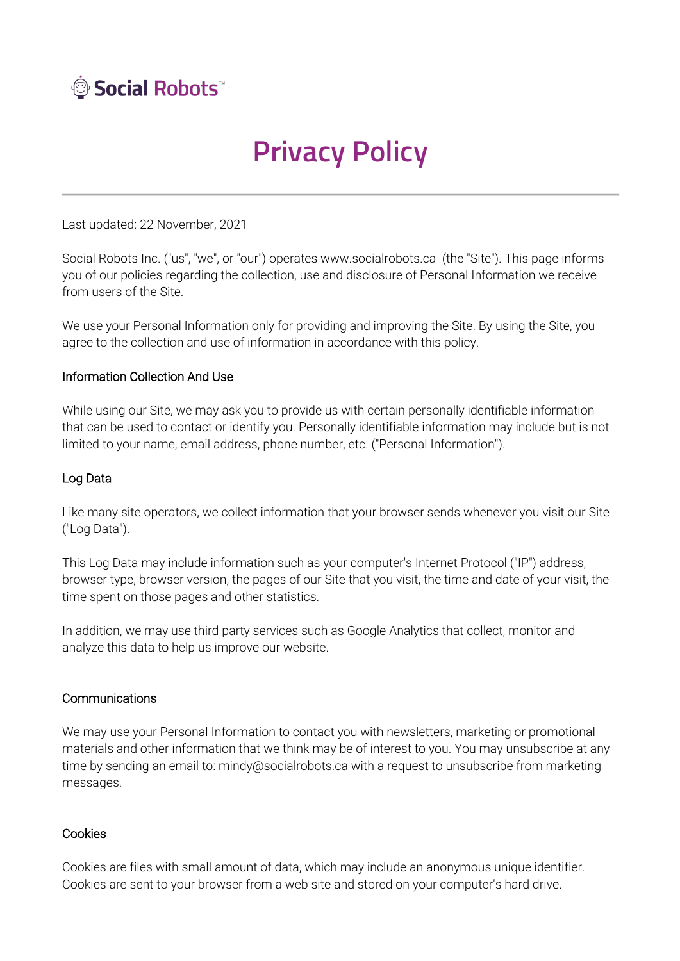

# **Privacy Policy**

Last updated: 22 November, 2021

Social Robots Inc. ("us", "we", or "our") operates www.socialrobots.ca (the "Site"). This page informs you of our policies regarding the collection, use and disclosure of Personal Information we receive from users of the Site.

We use your Personal Information only for providing and improving the Site. By using the Site, you agree to the collection and use of information in accordance with this policy.

## Information Collection And Use

While using our Site, we may ask you to provide us with certain personally identifiable information that can be used to contact or identify you. Personally identifiable information may include but is not limited to your name, email address, phone number, etc. ("Personal Information").

## Log Data

Like many site operators, we collect information that your browser sends whenever you visit our Site ("Log Data").

This Log Data may include information such as your computer's Internet Protocol ("IP") address, browser type, browser version, the pages of our Site that you visit, the time and date of your visit, the time spent on those pages and other statistics.

In addition, we may use third party services such as Google Analytics that collect, monitor and analyze this data to help us improve our website.

## **Communications**

We may use your Personal Information to contact you with newsletters, marketing or promotional materials and other information that we think may be of interest to you. You may unsubscribe at any time by sending an email to: mindy@socialrobots.ca with a request to unsubscribe from marketing messages.

#### Cookies

Cookies are files with small amount of data, which may include an anonymous unique identifier. Cookies are sent to your browser from a web site and stored on your computer's hard drive.